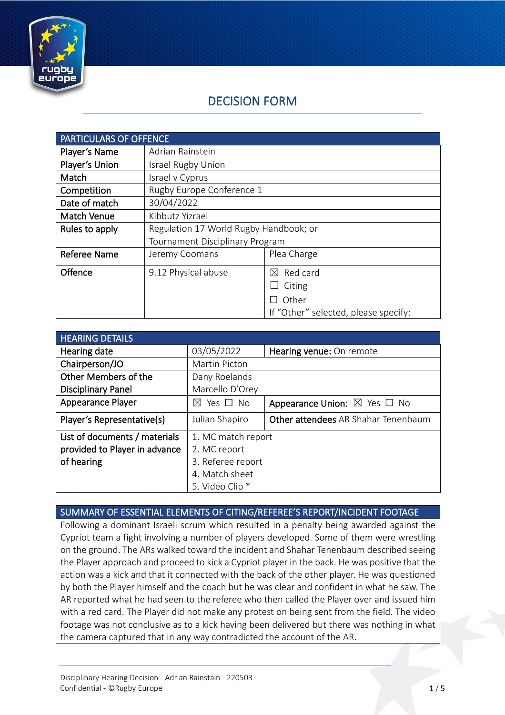

# DECISION FORM

| <b>PARTICULARS OF OFFENCE</b> |                                        |                                      |
|-------------------------------|----------------------------------------|--------------------------------------|
| Player's Name                 | Adrian Rainstein                       |                                      |
| Player's Union                | Israel Rugby Union                     |                                      |
| Match                         | Israel v Cyprus                        |                                      |
| Competition                   | Rugby Europe Conference 1              |                                      |
| Date of match                 | 30/04/2022                             |                                      |
| <b>Match Venue</b>            | Kibbutz Yizrael                        |                                      |
| Rules to apply                | Regulation 17 World Rugby Handbook; or |                                      |
|                               | Tournament Disciplinary Program        |                                      |
| <b>Referee Name</b>           | Jeremy Coomans                         | Plea Charge                          |
| Offence                       | 9.12 Physical abuse                    | Red card<br>$\boxtimes$              |
|                               |                                        | Citing                               |
|                               |                                        | Other                                |
|                               |                                        | If "Other" selected, please specify: |

| <b>HEARING DETAILS</b>        |                            |                                             |
|-------------------------------|----------------------------|---------------------------------------------|
| Hearing date                  | 03/05/2022                 | Hearing venue: On remote                    |
| Chairperson/JO                | Martin Picton              |                                             |
| Other Members of the          | Dany Roelands              |                                             |
| <b>Disciplinary Panel</b>     | Marcello D'Orey            |                                             |
| Appearance Player             | Yes $\Box$ No<br>$\bowtie$ | Appearance Union: $\boxtimes$ Yes $\Box$ No |
| Player's Representative(s)    | Julian Shapiro             | Other attendees AR Shahar Tenenbaum         |
| List of documents / materials | 1. MC match report         |                                             |
| provided to Player in advance | 2. MC report               |                                             |
| of hearing                    | 3. Referee report          |                                             |
|                               | 4. Match sheet             |                                             |
|                               | 5. Video Clip *            |                                             |

### SUMMARY OF ESSENTIAL ELEMENTS OF CITING/REFEREE'S REPORT/INCIDENT FOOTAGE

Following a dominant Israeli scrum which resulted in a penalty being awarded against the Cypriot team a fight involving a number of players developed. Some of them were wrestling on the ground. The ARs walked toward the incident and Shahar Tenenbaum described seeing the Player approach and proceed to kick a Cypriot player in the back. He was positive that the action was a kick and that it connected with the back of the other player. He was questioned by both the Player himself and the coach but he was clear and confident in what he saw. The AR reported what he had seen to the referee who then called the Player over and issued him with a red card. The Player did not make any protest on being sent from the field. The video footage was not conclusive as to a kick having been delivered but there was nothing in what the camera captured that in any way contradicted the account of the AR.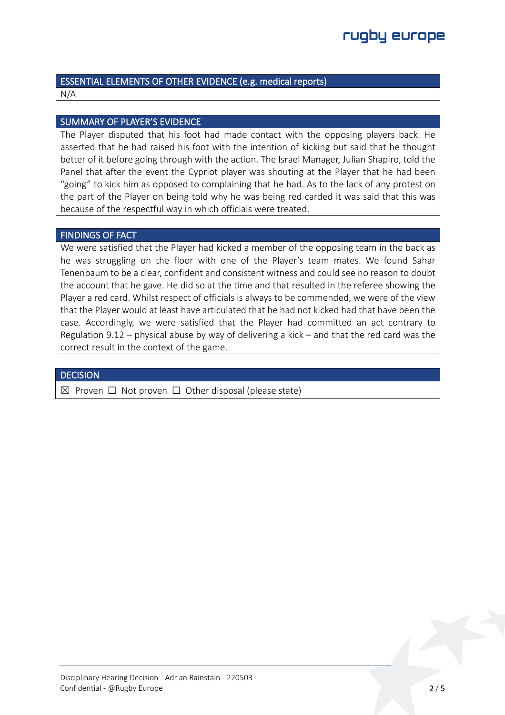#### ESSENTIAL ELEMENTS OF OTHER EVIDENCE (e.g. medical reports) N/A

### SUMMARY OF PLAYER'S EVIDENCE

The Player disputed that his foot had made contact with the opposing players back. He asserted that he had raised his foot with the intention of kicking but said that he thought better of it before going through with the action. The Israel Manager, Julian Shapiro, told the Panel that after the event the Cypriot player was shouting at the Player that he had been "going" to kick him as opposed to complaining that he had. As to the lack of any protest on the part of the Player on being told why he was being red carded it was said that this was because of the respectful way in which officials were treated.

#### FINDINGS OF FACT

We were satisfied that the Player had kicked a member of the opposing team in the back as he was struggling on the floor with one of the Player's team mates. We found Sahar Tenenbaum to be a clear, confident and consistent witness and could see no reason to doubt the account that he gave. He did so at the time and that resulted in the referee showing the Player a red card. Whilst respect of officials is always to be commended, we were of the view that the Player would at least have articulated that he had not kicked had that have been the case. Accordingly, we were satisfied that the Player had committed an act contrary to Regulation 9.12 – physical abuse by way of delivering a kick – and that the red card was the correct result in the context of the game.

### **DECISION**

 $✓$  Proven □ Not proven □ Other disposal (please state)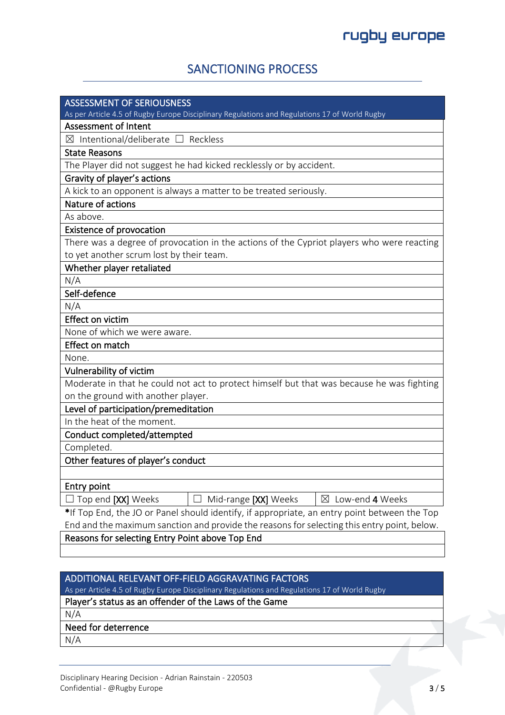## SANCTIONING PROCESS

| <b>ASSESSMENT OF SERIOUSNESS</b><br>As per Article 4.5 of Rugby Europe Disciplinary Regulations and Regulations 17 of World Rugby |  |  |
|-----------------------------------------------------------------------------------------------------------------------------------|--|--|
| <b>Assessment of Intent</b>                                                                                                       |  |  |
| $\boxtimes$ Intentional/deliberate $\Box$ Reckless                                                                                |  |  |
| <b>State Reasons</b>                                                                                                              |  |  |
| The Player did not suggest he had kicked recklessly or by accident.                                                               |  |  |
| Gravity of player's actions                                                                                                       |  |  |
| A kick to an opponent is always a matter to be treated seriously.                                                                 |  |  |
| Nature of actions                                                                                                                 |  |  |
| As above.                                                                                                                         |  |  |
| <b>Existence of provocation</b>                                                                                                   |  |  |
| There was a degree of provocation in the actions of the Cypriot players who were reacting                                         |  |  |
| to yet another scrum lost by their team.                                                                                          |  |  |
| Whether player retaliated                                                                                                         |  |  |
| N/A                                                                                                                               |  |  |
| Self-defence                                                                                                                      |  |  |
| N/A                                                                                                                               |  |  |
| <b>Effect on victim</b>                                                                                                           |  |  |
| None of which we were aware.                                                                                                      |  |  |
| Effect on match                                                                                                                   |  |  |
| None.                                                                                                                             |  |  |
| Vulnerability of victim                                                                                                           |  |  |
| Moderate in that he could not act to protect himself but that was because he was fighting                                         |  |  |
| on the ground with another player.                                                                                                |  |  |
| Level of participation/premeditation                                                                                              |  |  |
| In the heat of the moment.                                                                                                        |  |  |
| Conduct completed/attempted                                                                                                       |  |  |
| Completed.                                                                                                                        |  |  |
| Other features of player's conduct                                                                                                |  |  |
|                                                                                                                                   |  |  |
| <b>Entry point</b>                                                                                                                |  |  |
| Mid-range [XX] Weeks<br>$\boxtimes$ Low-end 4 Weeks<br>$\Box$ Top end [XX] Weeks                                                  |  |  |
| *If Top End, the JO or Panel should identify, if appropriate, an entry point between the Top                                      |  |  |
| End and the maximum sanction and provide the reasons for selecting this entry point, below.                                       |  |  |
| Reasons for selecting Entry Point above Top End                                                                                   |  |  |
|                                                                                                                                   |  |  |

## ADDITIONAL RELEVANT OFF-FIELD AGGRAVATING FACTORS

As per Article 4.5 of Rugby Europe Disciplinary Regulations and Regulations 17 of World Rugby

## Player's status as an offender of the Laws of the Game

N/A

## Need for deterrence

N/A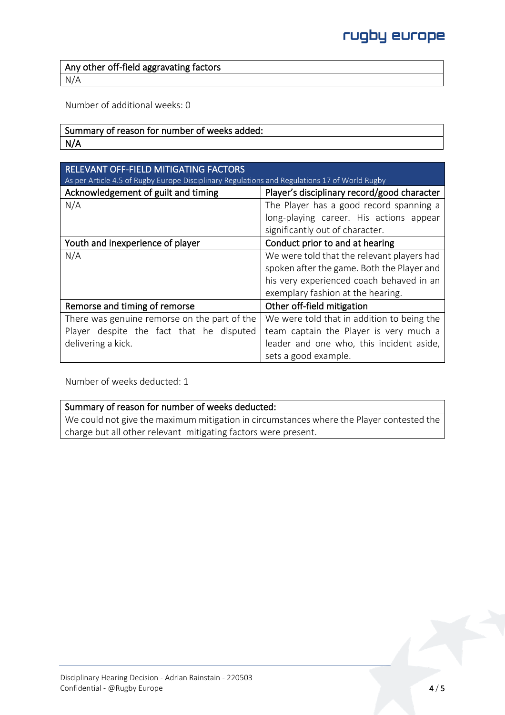Any other off-field aggravating factors N/A

Number of additional weeks: 0

## Summary of reason for number of weeks added: N/A

| RELEVANT OFF-FIELD MITIGATING FACTORS<br>As per Article 4.5 of Rugby Europe Disciplinary Regulations and Regulations 17 of World Rugby |                                             |  |
|----------------------------------------------------------------------------------------------------------------------------------------|---------------------------------------------|--|
| Acknowledgement of guilt and timing                                                                                                    | Player's disciplinary record/good character |  |
| N/A                                                                                                                                    | The Player has a good record spanning a     |  |
|                                                                                                                                        | long-playing career. His actions appear     |  |
|                                                                                                                                        | significantly out of character.             |  |
| Youth and inexperience of player                                                                                                       | Conduct prior to and at hearing             |  |
| N/A                                                                                                                                    | We were told that the relevant players had  |  |
|                                                                                                                                        | spoken after the game. Both the Player and  |  |
|                                                                                                                                        | his very experienced coach behaved in an    |  |
|                                                                                                                                        | exemplary fashion at the hearing.           |  |
| Remorse and timing of remorse                                                                                                          | Other off-field mitigation                  |  |
| There was genuine remorse on the part of the                                                                                           | We were told that in addition to being the  |  |
| Player despite the fact that he disputed                                                                                               | team captain the Player is very much a      |  |
| delivering a kick.                                                                                                                     | leader and one who, this incident aside,    |  |
|                                                                                                                                        | sets a good example.                        |  |

Number of weeks deducted: 1

#### Summary of reason for number of weeks deducted:

We could not give the maximum mitigation in circumstances where the Player contested the charge but all other relevant mitigating factors were present.